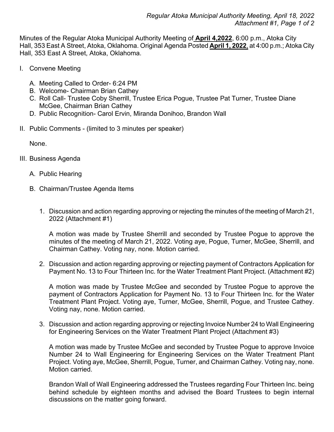Minutes of the Regular Atoka Municipal Authority Meeting of **April 4,2022**, 6:00 p.m., Atoka City Hall, 353 East A Street, Atoka, Oklahoma. Original Agenda Posted **April 1, 2022**, at 4:00 p.m.; Atoka City Hall, 353 East A Street, Atoka, Oklahoma.

- I. Convene Meeting
	- A. Meeting Called to Order- 6:24 PM
	- B. Welcome- Chairman Brian Cathey
	- C. Roll Call- Trustee Coby Sherrill, Trustee Erica Pogue, Trustee Pat Turner, Trustee Diane McGee, Chairman Brian Cathey
	- D. Public Recognition- Carol Ervin, Miranda Donihoo, Brandon Wall
- II. Public Comments (limited to 3 minutes per speaker)

None.

- III. Business Agenda
	- A. Public Hearing
	- B. Chairman/Trustee Agenda Items
		- 1. Discussion and action regarding approving or rejecting the minutes of the meeting of March 21, 2022 (Attachment #1)

A motion was made by Trustee Sherrill and seconded by Trustee Pogue to approve the minutes of the meeting of March 21, 2022. Voting aye, Pogue, Turner, McGee, Sherrill, and Chairman Cathey. Voting nay, none. Motion carried.

2. Discussion and action regarding approving or rejecting payment of Contractors Application for Payment No. 13 to Four Thirteen Inc. for the Water Treatment Plant Project. (Attachment #2)

A motion was made by Trustee McGee and seconded by Trustee Pogue to approve the payment of Contractors Application for Payment No. 13 to Four Thirteen Inc. for the Water Treatment Plant Project. Voting aye, Turner, McGee, Sherrill, Pogue, and Trustee Cathey. Voting nay, none. Motion carried.

3. Discussion and action regarding approving or rejecting Invoice Number 24 to Wall Engineering for Engineering Services on the Water Treatment Plant Project (Attachment #3)

A motion was made by Trustee McGee and seconded by Trustee Pogue to approve Invoice Number 24 to Wall Engineering for Engineering Services on the Water Treatment Plant Project. Voting aye, McGee, Sherrill, Pogue, Turner, and Chairman Cathey. Voting nay, none. Motion carried.

Brandon Wall of Wall Engineering addressed the Trustees regarding Four Thirteen Inc. being behind schedule by eighteen months and advised the Board Trustees to begin internal discussions on the matter going forward.